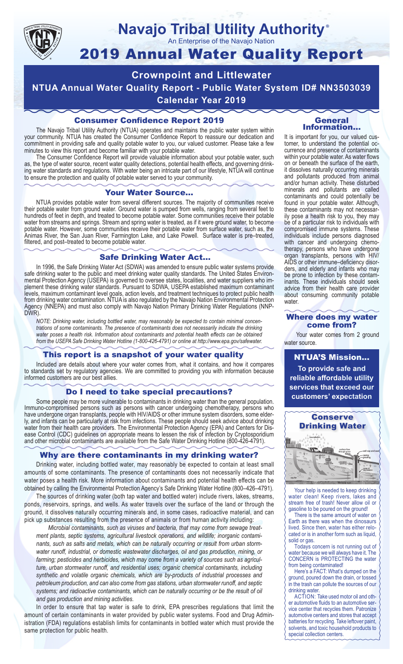

#### **Navajo Tribal Utility Authority** ®

An Enterprise of the Navajo Nation

# 2019 Annual Water Quality Report

**Crownpoint and Littlewater NTUA Annual Water Quality Report - Public Water System ID# NN3503039 Calendar Year 2019**

## Consumer Confidence Report 2019

The Navajo Tribal Utility Authority (NTUA) operates and maintains the public water system within your community. NTUA has created the Consumer Confidence Report to reassure our dedication and commitment in providing safe and quality potable water to you, our valued customer. Please take a few minutes to view this report and become familiar with your potable water.

The Consumer Confidence Report will provide valuable information about your potable water, such as, the type of water source, recent water quality detections, potential health effects, and governing drinking water standards and regulations. With water being an intricate part of our lifestyle, NTUA will continue to ensure the protection and quality of potable water served to your community.

#### Your Water Source…

NTUA provides potable water from several different sources. The majority of communities receive their potable water from ground water. Ground water is pumped from wells, ranging from several feet to hundreds of feet in depth, and treated to become potable water. Some communities receive their potable water from streams and springs. Stream and spring water is treated, as if it were ground water, to become potable water. However, some communities receive their potable water from surface water, such as, the Animas River, the San Juan River, Farmington Lake, and Lake Powell. Surface water is pre–treated, filtered, and post–treated to become potable water.

#### Safe Drinking Water Act…

In 1996, the Safe Drinking Water Act (SDWA) was amended to ensure public water systems provide safe drinking water to the public and meet drinking water quality standards. The United States Environmental Protection Agency (USEPA) is governed to oversee states, localities, and water suppliers who implement these drinking water standards. Pursuant to SDWA, USEPA established maximum contaminant levels, maximum contaminant level goals, action levels, and treatment techniques to protect public health from drinking water contamination. NTUA is also regulated by the Navajo Nation Environmental Protection Agency (NNEPA) and must also comply with Navajo Nation Primary Drinking Water Regulations (NNP-DWR)

*NOTE: Drinking water, including bottled water, may reasonably be expected to contain minimal concentrations of some contaminants. The presence of contaminants does not necessarily indicate the drinking water poses a health risk. Information about contaminants and potential health effects can be obtained from the USEPA Safe Drinking Water Hotline (1-800-426-4791) or online at http://www.epa.gov/safewater.*

### This report is a snapshot of your water quality

Included are details about where your water comes from, what it contains, and how it compares to standards set by regulatory agencies. We are committed to providing you with information because informed customers are our best allies.

#### Do I need to take special precautions?

Some people may be more vulnerable to contaminants in drinking water than the general population. Immuno-compromised persons such as persons with cancer undergoing chemotherapy, persons who have undergone organ transplants, people with HIV/AIDS or other immune system disorders, some elderly, and infants can be particularly at risk from infections. These people should seek advice about drinking water from their health care providers. The Environmental Protection Agency (EPA) and Centers for Disease Control (CDC) guidelines on appropriate means to lessen the risk of infection by Cryptosporidium and other microbial contaminants are available from the Safe Water Drinking Hotline (800-426-4791).

### Why are there contaminants in my drinking water?

Drinking water, including bottled water, may reasonably be expected to contain at least small amounts of some contaminants. The presence of contaminants does not necessarily indicate that water poses a health risk. More information about contaminants and potential health effects can be obtained by calling the Environmental Protection Agency's Safe Drinking Water Hotline (800–426–4791).

The sources of drinking water (both tap water and bottled water) include rivers, lakes, streams, ponds, reservoirs, springs, and wells. As water travels over the surface of the land or through the ground, it dissolves naturally occurring minerals and, in some cases, radioactive material, and can pick up substances resulting from the presence of animals or from human activity including:

*Microbial contaminants, such as viruses and bacteria, that may come from sewage treatment plants, septic systems, agricultural livestock operations, and wildlife; inorganic contaminants, such as salts and metals, which can be naturally occurring or result from urban stormwater runoff, industrial, or domestic wastewater discharges, oil and gas production, mining, or farming; pesticides and herbicides, which may come from a variety of sources such as agriculture, urban stormwater runoff, and residential uses; organic chemical contaminants, including synthetic and volatile organic chemicals, which are by-products of industrial processes and petroleum production, and can also come from gas stations, urban stormwater runoff, and septic systems; and radioactive contaminants, which can be naturally occurring or be the result of oil and gas production and mining activities.*

In order to ensure that tap water is safe to drink, EPA prescribes regulations that limit the amount of certain contaminants in water provided by public water systems. Food and Drug Administration (FDA) regulations establish limits for contaminants in bottled water which must provide the same protection for public health.

#### General Information…

It is important for you, our valued customer, to understand the potential occurrence and presence of contaminants within your potable water. As water flows on or beneath the surface of the earth, it dissolves naturally occurring minerals and pollutants produced from animal and/or human activity. These disturbed minerals and pollutants are called contaminants and could potentially be found in your potable water. Although, these contaminants may not necessarily pose a health risk to you, they may be of a particular risk to individuals with compromised immune systems. These individuals include persons diagnosed with cancer and undergoing chemo-<br>therapy, persons who have undergone organ transplants, persons with HIV/ AIDS or other immune–deficiency disor- ders, and elderly and infants who may be prone to infection by these contam- inants. These individuals should seek advice from their health care provider about consuming community potable water.

#### Where does my water come from?

Your water comes from 2 ground water source.

NTUA'S Mission... **To provide safe and reliable affordable utility services that exceed our customers' expectation**



Your help is needed to keep drinking water clean! Keep rivers, lakes and stream free of trash! Never allow oil or gasoline to be poured on the ground!

There is the same amount of water on Earth as there was when the dinosaurs lived. Since then, water has either relocated or is in another form such as liquid, solid or gas.

Todays concern is not running out of water because we will always have it. The CONCERN is PROTECTING the water from being contaminated!

Here's a FACT: What's dumped on the ground, poured down the drain, or tossed in the trash can pollute the sources of our drinking water.

ACTION: Take used motor oil and other automotive fluids to an automotive service center that recycles them. Patronize automotive centers and stores that accept batteries for recycling. Take leftover paint, solvents, and toxic household products to special collection centers.